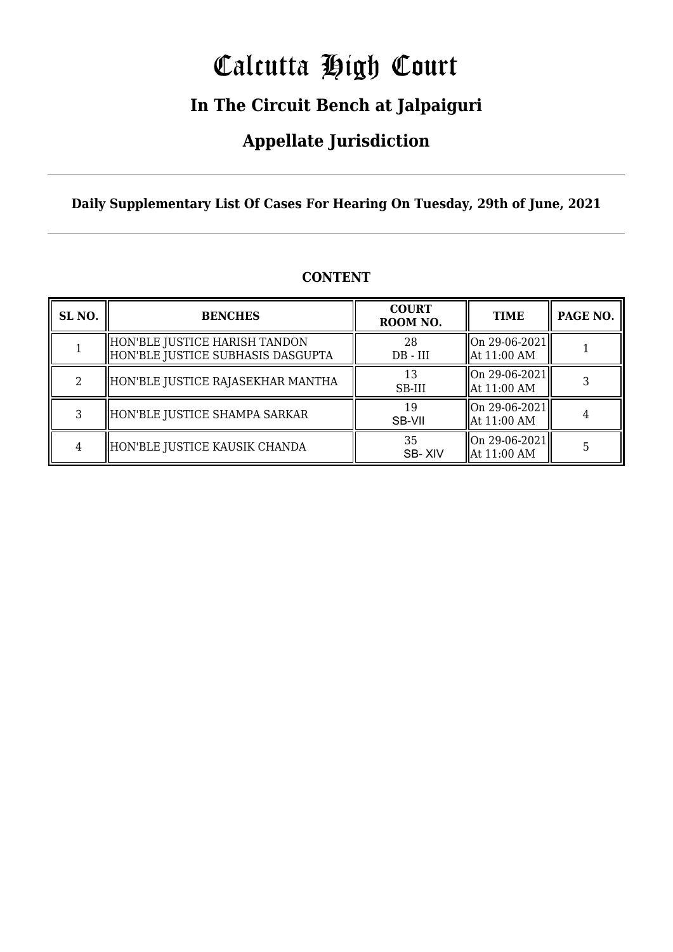# Calcutta High Court

### **In The Circuit Bench at Jalpaiguri**

### **Appellate Jurisdiction**

**Daily Supplementary List Of Cases For Hearing On Tuesday, 29th of June, 2021**

| SL <sub>NO.</sub> | <b>BENCHES</b>                                                     | <b>COURT</b><br>ROOM NO. | <b>TIME</b>                      | PAGE NO. |
|-------------------|--------------------------------------------------------------------|--------------------------|----------------------------------|----------|
|                   | HON'BLE JUSTICE HARISH TANDON<br>HON'BLE JUSTICE SUBHASIS DASGUPTA | 28<br>$DB - III$         | On 29-06-2021<br>  At 11:00 AM   |          |
| 2                 | HON'BLE JUSTICE RAJASEKHAR MANTHA                                  | 13<br>SB-III             | On 29-06-2021  <br>  At 11:00 AM |          |
| 3                 | HON'BLE JUSTICE SHAMPA SARKAR                                      | 19<br>SB-VII             | On 29-06-2021 <br>  At 11:00 AM  |          |
| 4                 | HON'BLE JUSTICE KAUSIK CHANDA                                      | 35<br>SB-XIV             | On 29-06-2021<br>  At 11:00 AM   |          |

#### **CONTENT**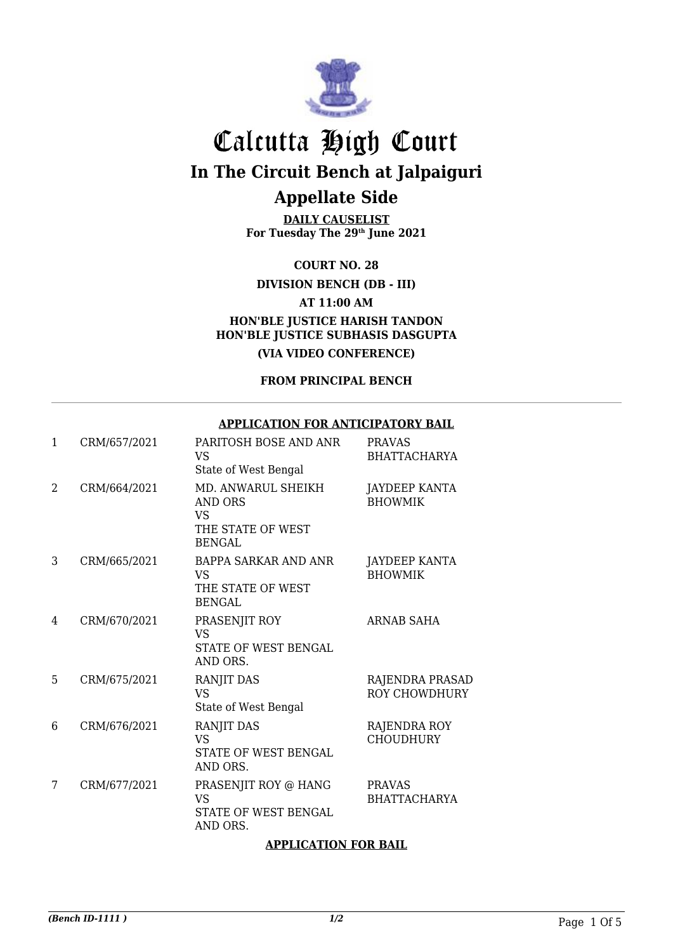

**DAILY CAUSELIST For Tuesday The 29th June 2021**

**COURT NO. 28**

**DIVISION BENCH (DB - III)**

**AT 11:00 AM**

**HON'BLE JUSTICE HARISH TANDON HON'BLE JUSTICE SUBHASIS DASGUPTA**

**(VIA VIDEO CONFERENCE)**

**FROM PRINCIPAL BENCH**

#### **APPLICATION FOR ANTICIPATORY BAIL**

| $\mathbf{1}$ | CRM/657/2021 | PARITOSH BOSE AND ANR<br>VS.<br>State of West Bengal                              | <b>PRAVAS</b><br><b>BHATTACHARYA</b>    |
|--------------|--------------|-----------------------------------------------------------------------------------|-----------------------------------------|
| 2            | CRM/664/2021 | MD. ANWARUL SHEIKH<br><b>AND ORS</b><br>VS.<br>THE STATE OF WEST<br><b>BENGAL</b> | <b>JAYDEEP KANTA</b><br><b>BHOWMIK</b>  |
| 3            | CRM/665/2021 | <b>BAPPA SARKAR AND ANR</b><br>VS.<br>THE STATE OF WEST<br><b>BENGAL</b>          | <b>JAYDEEP KANTA</b><br><b>BHOWMIK</b>  |
| 4            | CRM/670/2021 | PRASENJIT ROY<br><b>VS</b><br>STATE OF WEST BENGAL<br>AND ORS.                    | ARNAB SAHA                              |
| 5            | CRM/675/2021 | RANJIT DAS<br><b>VS</b><br>State of West Bengal                                   | RAJENDRA PRASAD<br><b>ROY CHOWDHURY</b> |
| 6            | CRM/676/2021 | RANJIT DAS<br><b>VS</b><br>STATE OF WEST BENGAL<br>AND ORS.                       | RAJENDRA ROY<br><b>CHOUDHURY</b>        |
| 7            | CRM/677/2021 | PRASENJIT ROY @ HANG<br><b>VS</b><br><b>STATE OF WEST BENGAL</b><br>AND ORS.      | <b>PRAVAS</b><br><b>BHATTACHARYA</b>    |

#### **APPLICATION FOR BAIL**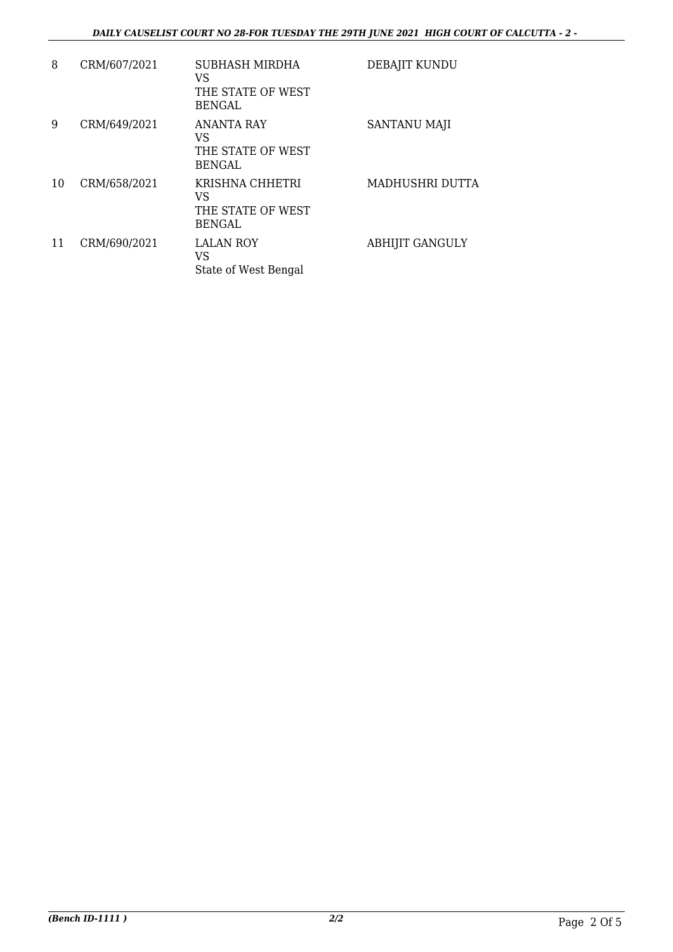#### *DAILY CAUSELIST COURT NO 28-FOR TUESDAY THE 29TH JUNE 2021 HIGH COURT OF CALCUTTA - 2 -*

| 8  | CRM/607/2021 | SUBHASH MIRDHA<br>VS<br>THE STATE OF WEST<br><b>BENGAL</b>    | DEBAJIT KUNDU          |
|----|--------------|---------------------------------------------------------------|------------------------|
| 9  | CRM/649/2021 | <b>ANANTA RAY</b><br>VS<br>THE STATE OF WEST<br><b>BENGAL</b> | <b>SANTANU MAJI</b>    |
| 10 | CRM/658/2021 | KRISHNA CHHETRI<br>VS<br>THE STATE OF WEST<br><b>BENGAL</b>   | MADHUSHRI DUTTA        |
| 11 | CRM/690/2021 | <b>LALAN ROY</b><br>VS<br>State of West Bengal                | <b>ABHIJIT GANGULY</b> |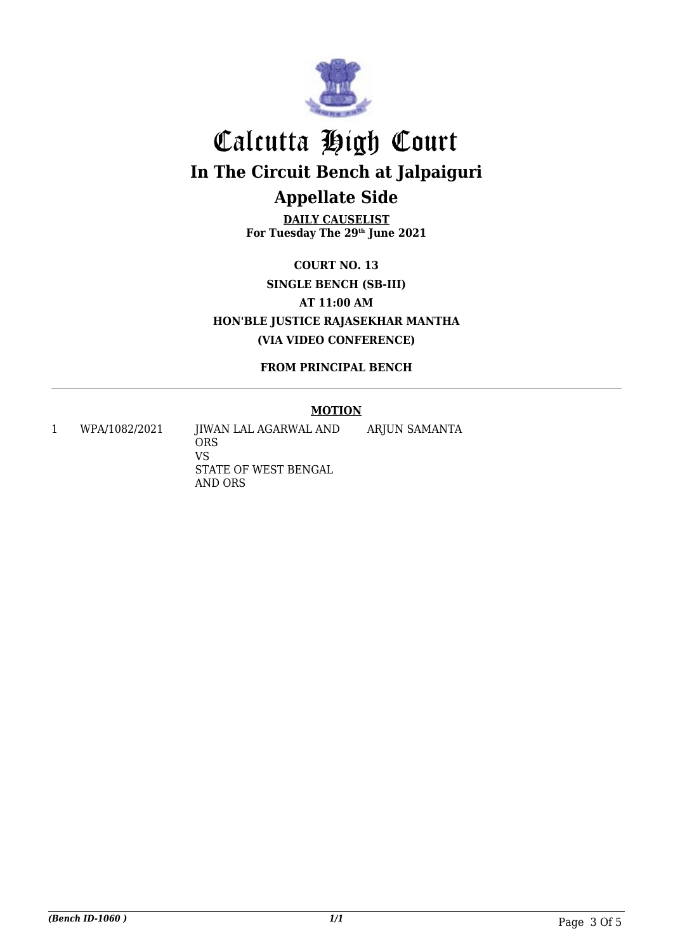

**DAILY CAUSELIST For Tuesday The 29th June 2021**

**COURT NO. 13 SINGLE BENCH (SB-III) AT 11:00 AM HON'BLE JUSTICE RAJASEKHAR MANTHA (VIA VIDEO CONFERENCE)**

**FROM PRINCIPAL BENCH**

#### **MOTION**

1 WPA/1082/2021 JIWAN LAL AGARWAL AND **ORS** VS STATE OF WEST BENGAL AND ORS ARJUN SAMANTA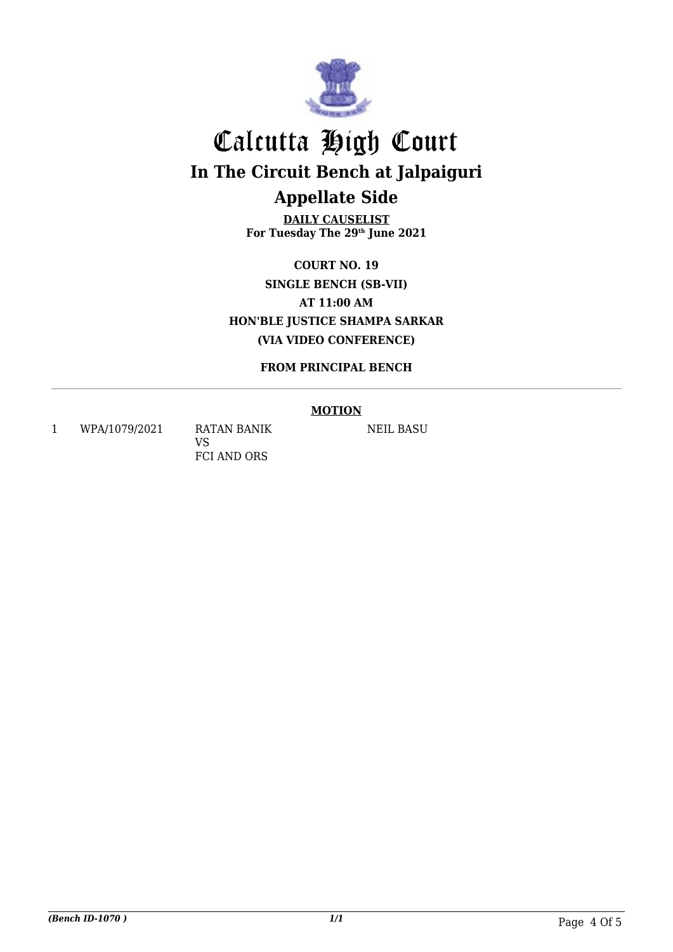

**DAILY CAUSELIST For Tuesday The 29th June 2021**

**COURT NO. 19 SINGLE BENCH (SB-VII) AT 11:00 AM HON'BLE JUSTICE SHAMPA SARKAR (VIA VIDEO CONFERENCE)**

**FROM PRINCIPAL BENCH**

#### **MOTION**

1 WPA/1079/2021 RATAN BANIK

VS FCI AND ORS NEIL BASU